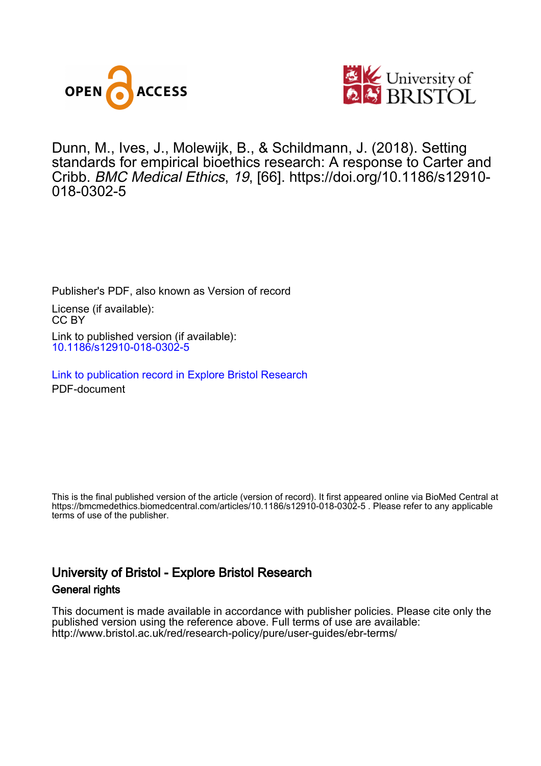



Dunn, M. , Ives, J., Molewijk, B., & Schildmann, J. (2018). Setting standards for empirical bioethics research: A response to Carter and Cribb. BMC Medical Ethics, 19, [66]. [https://doi.org/10.1186/s12910-](https://doi.org/10.1186/s12910-018-0302-5) [018-0302-5](https://doi.org/10.1186/s12910-018-0302-5)

Publisher's PDF, also known as Version of record License (if available): CC BY Link to published version (if available): [10.1186/s12910-018-0302-5](https://doi.org/10.1186/s12910-018-0302-5)

[Link to publication record in Explore Bristol Research](https://research-information.bris.ac.uk/en/publications/a596bc68-58e0-4b1a-97f6-893b35182a3e) PDF-document

This is the final published version of the article (version of record). It first appeared online via BioMed Central at https://bmcmedethics.biomedcentral.com/articles/10.1186/s12910-018-0302-5 . Please refer to any applicable terms of use of the publisher.

# University of Bristol - Explore Bristol Research General rights

This document is made available in accordance with publisher policies. Please cite only the published version using the reference above. Full terms of use are available: http://www.bristol.ac.uk/red/research-policy/pure/user-guides/ebr-terms/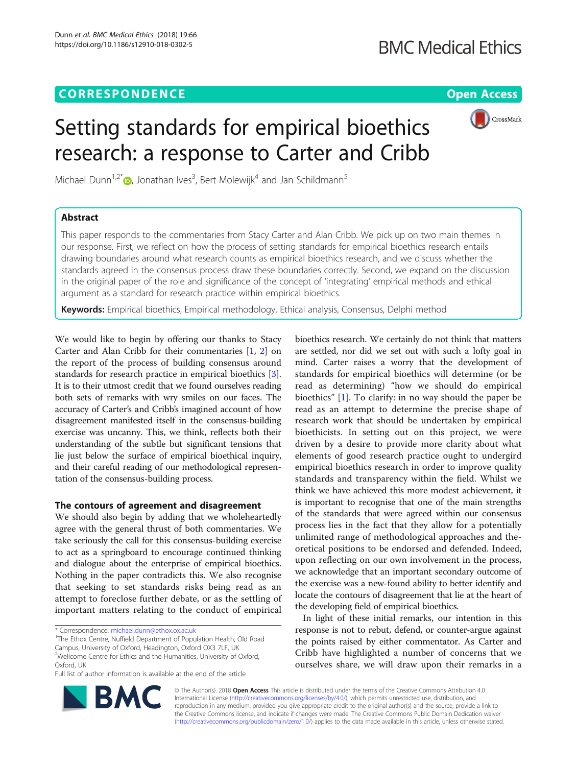# **CORRESPONDENCE CORRESPONDENCE** *CORRESPONDENCE*



# Setting standards for empirical bioethics research: a response to Carter and Cribb

Michael Dunn<sup>1,2[\\*](http://orcid.org/0000-0002-5603-6200)</sup>®, Jonathan Ives<sup>3</sup>, Bert Molewijk<sup>4</sup> and Jan Schildmann<sup>5</sup>

# Abstract

This paper responds to the commentaries from Stacy Carter and Alan Cribb. We pick up on two main themes in our response. First, we reflect on how the process of setting standards for empirical bioethics research entails drawing boundaries around what research counts as empirical bioethics research, and we discuss whether the standards agreed in the consensus process draw these boundaries correctly. Second, we expand on the discussion in the original paper of the role and significance of the concept of 'integrating' empirical methods and ethical argument as a standard for research practice within empirical bioethics.

Keywords: Empirical bioethics, Empirical methodology, Ethical analysis, Consensus, Delphi method

We would like to begin by offering our thanks to Stacy Carter and Alan Cribb for their commentaries [\[1](#page-5-0), [2](#page-5-0)] on the report of the process of building consensus around standards for research practice in empirical bioethics [\[3](#page-5-0)]. It is to their utmost credit that we found ourselves reading both sets of remarks with wry smiles on our faces. The accuracy of Carter's and Cribb's imagined account of how disagreement manifested itself in the consensus-building exercise was uncanny. This, we think, reflects both their understanding of the subtle but significant tensions that lie just below the surface of empirical bioethical inquiry, and their careful reading of our methodological representation of the consensus-building process.

# The contours of agreement and disagreement

We should also begin by adding that we wholeheartedly agree with the general thrust of both commentaries. We take seriously the call for this consensus-building exercise to act as a springboard to encourage continued thinking and dialogue about the enterprise of empirical bioethics. Nothing in the paper contradicts this. We also recognise that seeking to set standards risks being read as an attempt to foreclose further debate, or as the settling of important matters relating to the conduct of empirical

\* Correspondence: [michael.dunn@ethox.ox.ac.uk](mailto:michael.dunn@ethox.ox.ac.uk) <sup>1</sup>

<sup>1</sup>The Ethox Centre, Nuffield Department of Population Health, Old Road

Campus, University of Oxford, Headington, Oxford OX3 7LF, UK <sup>2</sup>Wellcome Centre for Ethics and the Humanities, University of Oxford,

Oxford, UK

Full list of author information is available at the end of the article

bioethics research. We certainly do not think that matters are settled, nor did we set out with such a lofty goal in mind. Carter raises a worry that the development of standards for empirical bioethics will determine (or be read as determining) "how we should do empirical bioethics" [[1\]](#page-5-0). To clarify: in no way should the paper be read as an attempt to determine the precise shape of research work that should be undertaken by empirical bioethicists. In setting out on this project, we were driven by a desire to provide more clarity about what elements of good research practice ought to undergird empirical bioethics research in order to improve quality standards and transparency within the field. Whilst we think we have achieved this more modest achievement, it is important to recognise that one of the main strengths of the standards that were agreed within our consensus process lies in the fact that they allow for a potentially unlimited range of methodological approaches and theoretical positions to be endorsed and defended. Indeed, upon reflecting on our own involvement in the process, we acknowledge that an important secondary outcome of the exercise was a new-found ability to better identify and locate the contours of disagreement that lie at the heart of the developing field of empirical bioethics.

In light of these initial remarks, our intention in this response is not to rebut, defend, or counter-argue against the points raised by either commentator. As Carter and Cribb have highlighted a number of concerns that we ourselves share, we will draw upon their remarks in a



© The Author(s). 2018 Open Access This article is distributed under the terms of the Creative Commons Attribution 4.0 International License [\(http://creativecommons.org/licenses/by/4.0/](http://creativecommons.org/licenses/by/4.0/)), which permits unrestricted use, distribution, and reproduction in any medium, provided you give appropriate credit to the original author(s) and the source, provide a link to the Creative Commons license, and indicate if changes were made. The Creative Commons Public Domain Dedication waiver [\(http://creativecommons.org/publicdomain/zero/1.0/](http://creativecommons.org/publicdomain/zero/1.0/)) applies to the data made available in this article, unless otherwise stated.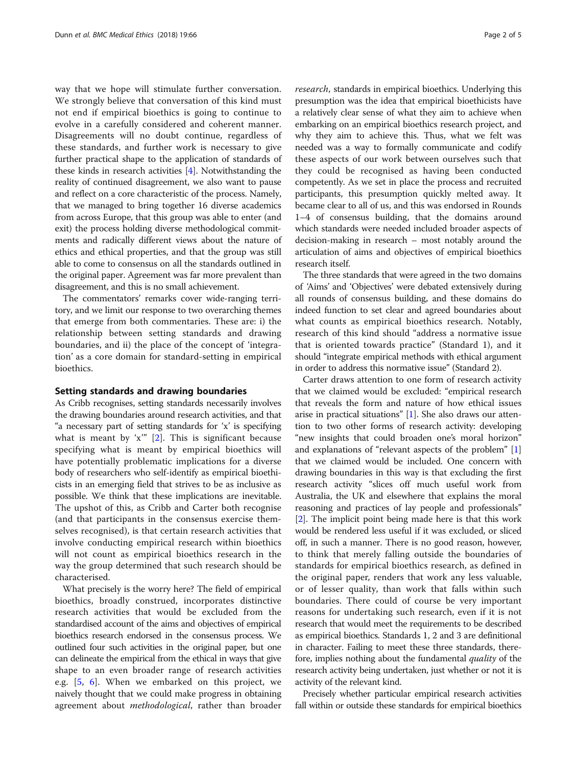way that we hope will stimulate further conversation. We strongly believe that conversation of this kind must not end if empirical bioethics is going to continue to evolve in a carefully considered and coherent manner. Disagreements will no doubt continue, regardless of these standards, and further work is necessary to give further practical shape to the application of standards of these kinds in research activities [\[4](#page-5-0)]. Notwithstanding the reality of continued disagreement, we also want to pause and reflect on a core characteristic of the process. Namely, that we managed to bring together 16 diverse academics from across Europe, that this group was able to enter (and exit) the process holding diverse methodological commitments and radically different views about the nature of ethics and ethical properties, and that the group was still able to come to consensus on all the standards outlined in the original paper. Agreement was far more prevalent than disagreement, and this is no small achievement.

The commentators' remarks cover wide-ranging territory, and we limit our response to two overarching themes that emerge from both commentaries. These are: i) the relationship between setting standards and drawing boundaries, and ii) the place of the concept of 'integration' as a core domain for standard-setting in empirical bioethics.

### Setting standards and drawing boundaries

As Cribb recognises, setting standards necessarily involves the drawing boundaries around research activities, and that "a necessary part of setting standards for 'x' is specifying what is meant by 'x'" [[2\]](#page-5-0). This is significant because specifying what is meant by empirical bioethics will have potentially problematic implications for a diverse body of researchers who self-identify as empirical bioethicists in an emerging field that strives to be as inclusive as possible. We think that these implications are inevitable. The upshot of this, as Cribb and Carter both recognise (and that participants in the consensus exercise themselves recognised), is that certain research activities that involve conducting empirical research within bioethics will not count as empirical bioethics research in the way the group determined that such research should be characterised.

What precisely is the worry here? The field of empirical bioethics, broadly construed, incorporates distinctive research activities that would be excluded from the standardised account of the aims and objectives of empirical bioethics research endorsed in the consensus process. We outlined four such activities in the original paper, but one can delineate the empirical from the ethical in ways that give shape to an even broader range of research activities e.g. [[5,](#page-5-0) [6\]](#page-5-0). When we embarked on this project, we naively thought that we could make progress in obtaining agreement about *methodological*, rather than broader

research, standards in empirical bioethics. Underlying this presumption was the idea that empirical bioethicists have a relatively clear sense of what they aim to achieve when embarking on an empirical bioethics research project, and why they aim to achieve this. Thus, what we felt was needed was a way to formally communicate and codify these aspects of our work between ourselves such that they could be recognised as having been conducted competently. As we set in place the process and recruited participants, this presumption quickly melted away. It became clear to all of us, and this was endorsed in Rounds 1–4 of consensus building, that the domains around which standards were needed included broader aspects of decision-making in research – most notably around the articulation of aims and objectives of empirical bioethics research itself.

The three standards that were agreed in the two domains of 'Aims' and 'Objectives' were debated extensively during all rounds of consensus building, and these domains do indeed function to set clear and agreed boundaries about what counts as empirical bioethics research. Notably, research of this kind should "address a normative issue that is oriented towards practice" (Standard 1), and it should "integrate empirical methods with ethical argument in order to address this normative issue" (Standard 2).

Carter draws attention to one form of research activity that we claimed would be excluded: "empirical research that reveals the form and nature of how ethical issues arise in practical situations" [\[1\]](#page-5-0). She also draws our attention to two other forms of research activity: developing "new insights that could broaden one's moral horizon" and explanations of "relevant aspects of the problem" [[1](#page-5-0)] that we claimed would be included. One concern with drawing boundaries in this way is that excluding the first research activity "slices off much useful work from Australia, the UK and elsewhere that explains the moral reasoning and practices of lay people and professionals" [[2\]](#page-5-0). The implicit point being made here is that this work would be rendered less useful if it was excluded, or sliced off, in such a manner. There is no good reason, however, to think that merely falling outside the boundaries of standards for empirical bioethics research, as defined in the original paper, renders that work any less valuable, or of lesser quality, than work that falls within such boundaries. There could of course be very important reasons for undertaking such research, even if it is not research that would meet the requirements to be described as empirical bioethics. Standards 1, 2 and 3 are definitional in character. Failing to meet these three standards, therefore, implies nothing about the fundamental quality of the research activity being undertaken, just whether or not it is activity of the relevant kind.

Precisely whether particular empirical research activities fall within or outside these standards for empirical bioethics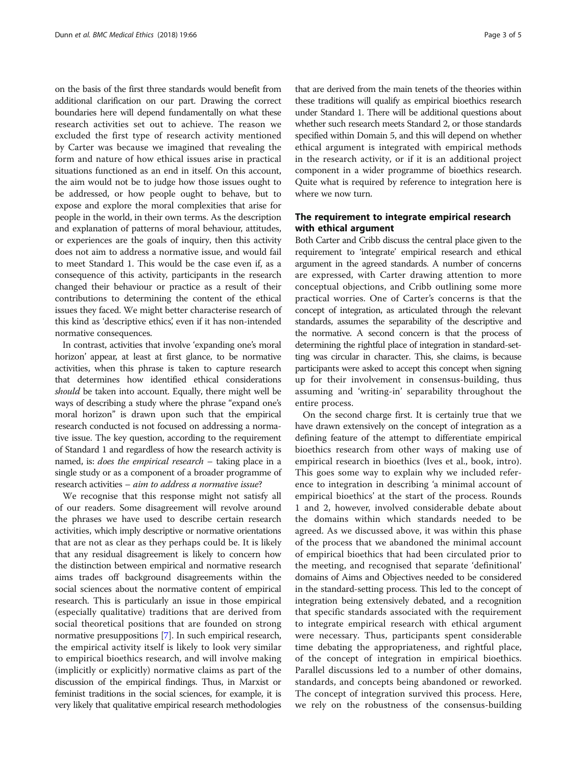on the basis of the first three standards would benefit from additional clarification on our part. Drawing the correct boundaries here will depend fundamentally on what these research activities set out to achieve. The reason we excluded the first type of research activity mentioned by Carter was because we imagined that revealing the form and nature of how ethical issues arise in practical situations functioned as an end in itself. On this account, the aim would not be to judge how those issues ought to be addressed, or how people ought to behave, but to expose and explore the moral complexities that arise for people in the world, in their own terms. As the description and explanation of patterns of moral behaviour, attitudes, or experiences are the goals of inquiry, then this activity does not aim to address a normative issue, and would fail to meet Standard 1. This would be the case even if, as a consequence of this activity, participants in the research changed their behaviour or practice as a result of their contributions to determining the content of the ethical issues they faced. We might better characterise research of this kind as 'descriptive ethics', even if it has non-intended normative consequences.

In contrast, activities that involve 'expanding one's moral horizon' appear, at least at first glance, to be normative activities, when this phrase is taken to capture research that determines how identified ethical considerations should be taken into account. Equally, there might well be ways of describing a study where the phrase "expand one's moral horizon" is drawn upon such that the empirical research conducted is not focused on addressing a normative issue. The key question, according to the requirement of Standard 1 and regardless of how the research activity is named, is: *does the empirical research* – taking place in a single study or as a component of a broader programme of research activities – aim to address a normative issue?

We recognise that this response might not satisfy all of our readers. Some disagreement will revolve around the phrases we have used to describe certain research activities, which imply descriptive or normative orientations that are not as clear as they perhaps could be. It is likely that any residual disagreement is likely to concern how the distinction between empirical and normative research aims trades off background disagreements within the social sciences about the normative content of empirical research. This is particularly an issue in those empirical (especially qualitative) traditions that are derived from social theoretical positions that are founded on strong normative presuppositions [\[7](#page-5-0)]. In such empirical research, the empirical activity itself is likely to look very similar to empirical bioethics research, and will involve making (implicitly or explicitly) normative claims as part of the discussion of the empirical findings. Thus, in Marxist or feminist traditions in the social sciences, for example, it is very likely that qualitative empirical research methodologies

that are derived from the main tenets of the theories within these traditions will qualify as empirical bioethics research under Standard 1. There will be additional questions about whether such research meets Standard 2, or those standards specified within Domain 5, and this will depend on whether ethical argument is integrated with empirical methods in the research activity, or if it is an additional project component in a wider programme of bioethics research. Quite what is required by reference to integration here is where we now turn.

# The requirement to integrate empirical research with ethical argument

Both Carter and Cribb discuss the central place given to the requirement to 'integrate' empirical research and ethical argument in the agreed standards. A number of concerns are expressed, with Carter drawing attention to more conceptual objections, and Cribb outlining some more practical worries. One of Carter's concerns is that the concept of integration, as articulated through the relevant standards, assumes the separability of the descriptive and the normative. A second concern is that the process of determining the rightful place of integration in standard-setting was circular in character. This, she claims, is because participants were asked to accept this concept when signing up for their involvement in consensus-building, thus assuming and 'writing-in' separability throughout the entire process.

On the second charge first. It is certainly true that we have drawn extensively on the concept of integration as a defining feature of the attempt to differentiate empirical bioethics research from other ways of making use of empirical research in bioethics (Ives et al., book, intro). This goes some way to explain why we included reference to integration in describing 'a minimal account of empirical bioethics' at the start of the process. Rounds 1 and 2, however, involved considerable debate about the domains within which standards needed to be agreed. As we discussed above, it was within this phase of the process that we abandoned the minimal account of empirical bioethics that had been circulated prior to the meeting, and recognised that separate 'definitional' domains of Aims and Objectives needed to be considered in the standard-setting process. This led to the concept of integration being extensively debated, and a recognition that specific standards associated with the requirement to integrate empirical research with ethical argument were necessary. Thus, participants spent considerable time debating the appropriateness, and rightful place, of the concept of integration in empirical bioethics. Parallel discussions led to a number of other domains, standards, and concepts being abandoned or reworked. The concept of integration survived this process. Here, we rely on the robustness of the consensus-building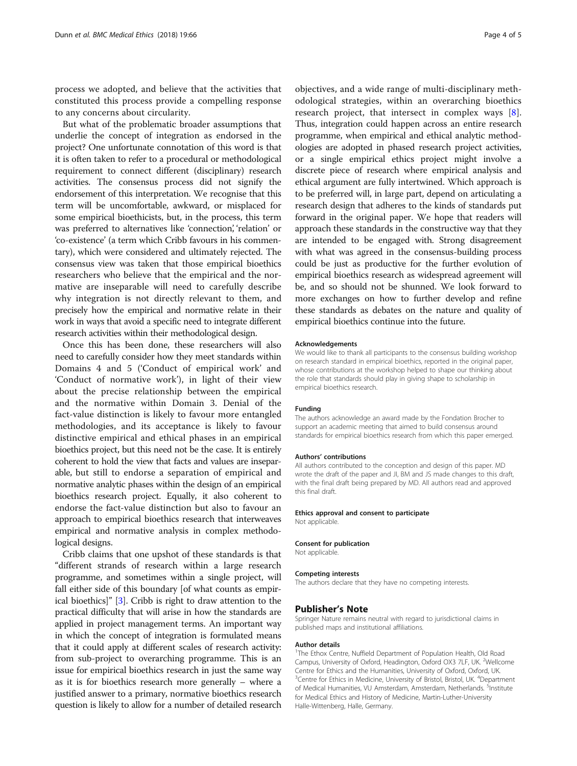process we adopted, and believe that the activities that constituted this process provide a compelling response to any concerns about circularity.

But what of the problematic broader assumptions that underlie the concept of integration as endorsed in the project? One unfortunate connotation of this word is that it is often taken to refer to a procedural or methodological requirement to connect different (disciplinary) research activities. The consensus process did not signify the endorsement of this interpretation. We recognise that this term will be uncomfortable, awkward, or misplaced for some empirical bioethicists, but, in the process, this term was preferred to alternatives like 'connection', 'relation' or 'co-existence' (a term which Cribb favours in his commentary), which were considered and ultimately rejected. The consensus view was taken that those empirical bioethics researchers who believe that the empirical and the normative are inseparable will need to carefully describe why integration is not directly relevant to them, and precisely how the empirical and normative relate in their work in ways that avoid a specific need to integrate different research activities within their methodological design.

Once this has been done, these researchers will also need to carefully consider how they meet standards within Domains 4 and 5 ('Conduct of empirical work' and 'Conduct of normative work'), in light of their view about the precise relationship between the empirical and the normative within Domain 3. Denial of the fact-value distinction is likely to favour more entangled methodologies, and its acceptance is likely to favour distinctive empirical and ethical phases in an empirical bioethics project, but this need not be the case. It is entirely coherent to hold the view that facts and values are inseparable, but still to endorse a separation of empirical and normative analytic phases within the design of an empirical bioethics research project. Equally, it also coherent to endorse the fact-value distinction but also to favour an approach to empirical bioethics research that interweaves empirical and normative analysis in complex methodological designs.

Cribb claims that one upshot of these standards is that "different strands of research within a large research programme, and sometimes within a single project, will fall either side of this boundary [of what counts as empirical bioethics]" [\[3\]](#page-5-0). Cribb is right to draw attention to the practical difficulty that will arise in how the standards are applied in project management terms. An important way in which the concept of integration is formulated means that it could apply at different scales of research activity: from sub-project to overarching programme. This is an issue for empirical bioethics research in just the same way as it is for bioethics research more generally – where a justified answer to a primary, normative bioethics research question is likely to allow for a number of detailed research

objectives, and a wide range of multi-disciplinary methodological strategies, within an overarching bioethics research project, that intersect in complex ways [\[8](#page-5-0)]. Thus, integration could happen across an entire research programme, when empirical and ethical analytic methodologies are adopted in phased research project activities, or a single empirical ethics project might involve a discrete piece of research where empirical analysis and ethical argument are fully intertwined. Which approach is to be preferred will, in large part, depend on articulating a research design that adheres to the kinds of standards put forward in the original paper. We hope that readers will approach these standards in the constructive way that they are intended to be engaged with. Strong disagreement with what was agreed in the consensus-building process could be just as productive for the further evolution of empirical bioethics research as widespread agreement will be, and so should not be shunned. We look forward to more exchanges on how to further develop and refine these standards as debates on the nature and quality of empirical bioethics continue into the future.

#### Acknowledgements

We would like to thank all participants to the consensus building workshop on research standard in empirical bioethics, reported in the original paper, whose contributions at the workshop helped to shape our thinking about the role that standards should play in giving shape to scholarship in empirical bioethics research.

#### Funding

The authors acknowledge an award made by the Fondation Brocher to support an academic meeting that aimed to build consensus around standards for empirical bioethics research from which this paper emerged.

#### Authors' contributions

All authors contributed to the conception and design of this paper. MD wrote the draft of the paper and JI, BM and JS made changes to this draft, with the final draft being prepared by MD. All authors read and approved this final draft.

#### Ethics approval and consent to participate Not applicable.

# Consent for publication

Not applicable.

#### Competing interests

The authors declare that they have no competing interests.

#### Publisher's Note

Springer Nature remains neutral with regard to jurisdictional claims in published maps and institutional affiliations.

#### Author details

<sup>1</sup>The Ethox Centre, Nuffield Department of Population Health, Old Road Campus, University of Oxford, Headington, Oxford OX3 7LF, UK. <sup>2</sup>Wellcome Centre for Ethics and the Humanities, University of Oxford, Oxford, UK. <sup>3</sup> Centre for Ethics in Medicine, University of Bristol, Bristol, UK. <sup>4</sup> Department of Medical Humanities, VU Amsterdam, Amsterdam, Netherlands. <sup>5</sup>Institute for Medical Ethics and History of Medicine, Martin-Luther-University Halle-Wittenberg, Halle, Germany.